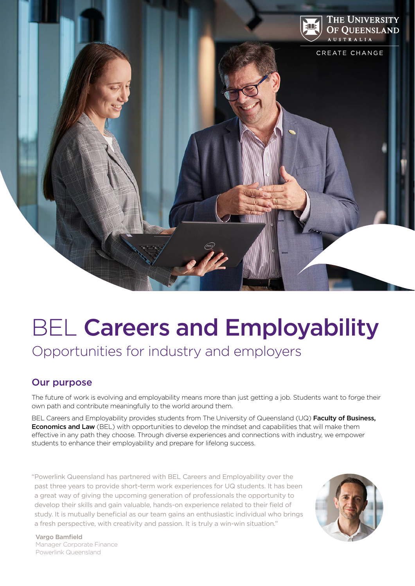

# BEL Careers and Employability

Opportunities for industry and employers

## Our purpose

The future of work is evolving and employability means more than just getting a job. Students want to forge their own path and contribute meaningfully to the world around them.

BEL Careers and Employability provides students from The University of Queensland (UQ) Faculty of Business, **Economics and Law** (BEL) with opportunities to develop the mindset and capabilities that will make them effective in any path they choose. Through diverse experiences and connections with industry, we empower students to enhance their employability and prepare for lifelong success.

"Powerlink Queensland has partnered with BEL Careers and Employability over the past three years to provide short-term work experiences for UQ students. It has been a great way of giving the upcoming generation of professionals the opportunity to develop their skills and gain valuable, hands-on experience related to their field of study. It is mutually beneficial as our team gains an enthusiastic individual who brings a fresh perspective, with creativity and passion. It is truly a win-win situation."



Vargo Bamfield Manager Corporate Finance Powerlink Queensland